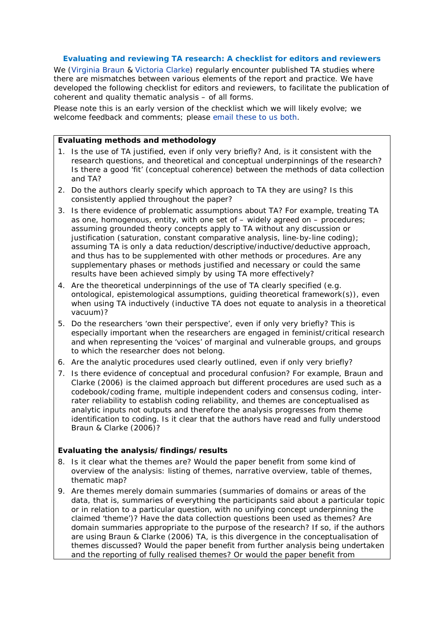## **Evaluating and reviewing TA research: A checklist for editors and reviewers**

We [\(Virginia Braun](https://www.psych.auckland.ac.nz/people/v-braun) & [Victoria Clarke\)](http://people.uwe.ac.uk/Pages/person.aspx?accountname=campus%5Cv2-clarke) regularly encounter published TA studies where there are mismatches between various elements of the report and practice. We have developed the following checklist for editors and reviewers, to facilitate the publication of coherent and quality thematic analysis – of all forms.

Please note this is an early version of the checklist which we will likely evolve; we welcome feedback and comments; please [email these to us](mailto:Victoria.Clarke@uwe.ac.uk;%20v.braun@auckland.ac.nz) both.

## *Evaluating methods and methodology*

- 1. Is the use of TA justified, even if only very briefly? And, is it consistent with the research questions, and theoretical and conceptual underpinnings of the research? Is there a good 'fit' (conceptual coherence) between the methods of data collection and TA?
- 2. Do the authors clearly specify which approach to TA they are using? Is this consistently applied throughout the paper?
- 3. Is there evidence of problematic assumptions about TA? For example, treating TA as one, homogenous, entity, with one set of – widely agreed on – procedures; assuming grounded theory concepts apply to TA without any discussion or justification (saturation, constant comparative analysis, line-by-line coding); assuming TA is only a data reduction/descriptive/inductive/deductive approach, and thus has to be supplemented with other methods or procedures. Are any supplementary phases or methods justified and necessary or could the same results have been achieved simply by using TA more effectively?
- 4. Are the theoretical underpinnings of the use of TA clearly specified (e.g. ontological, epistemological assumptions, guiding theoretical framework(s)), even when using TA inductively (inductive TA does not equate to analysis in a theoretical vacuum)?
- 5. Do the researchers 'own their perspective', even if only very briefly? This is especially important when the researchers are engaged in feminist/critical research and when representing the 'voices' of marginal and vulnerable groups, and groups to which the researcher does not belong.
- 6. Are the analytic procedures used clearly outlined, even if only very briefly?
- 7. Is there evidence of conceptual and procedural confusion? For example, Braun and Clarke (2006) is the claimed approach but different procedures are used such as a codebook/coding frame, multiple independent coders and consensus coding, interrater reliability to establish coding reliability, and themes are conceptualised as analytic inputs not outputs and therefore the analysis progresses from theme identification to coding. Is it clear that the authors have read and fully understood Braun & Clarke (2006)?

## *Evaluating the analysis/findings/results*

- 8. Is it clear what the themes are? Would the paper benefit from some kind of overview of the analysis: listing of themes, narrative overview, table of themes, thematic map?
- 9. Are themes merely domain summaries (summaries of domains or *areas* of the data, that is, summaries of everything the participants said about a particular topic or in relation to a particular question, with no unifying concept underpinning the claimed 'theme')? Have the data collection questions been used as themes? Are domain summaries appropriate to the purpose of the research? If so, if the authors are using Braun & Clarke (2006) TA, is this divergence in the conceptualisation of themes discussed? Would the paper benefit from further analysis being undertaken and the reporting of fully realised themes? Or would the paper benefit from